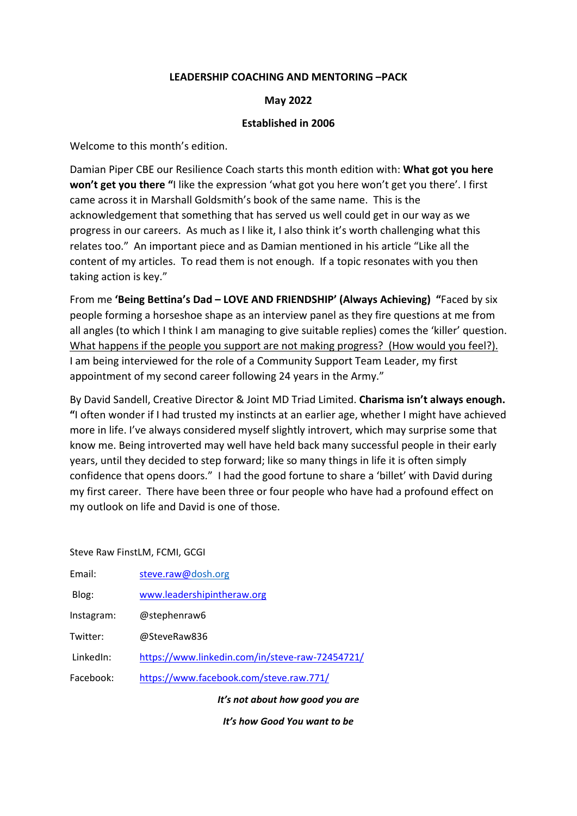#### **LEADERSHIP COACHING AND MENTORING –PACK**

#### **May 2022**

#### **Established in 2006**

Welcome to this month's edition.

Damian Piper CBE our Resilience Coach starts this month edition with: **What got you here won't get you there "**I like the expression 'what got you here won't get you there'. I first came across it in Marshall Goldsmith's book of the same name. This is the acknowledgement that something that has served us well could get in our way as we progress in our careers. As much as I like it, I also think it's worth challenging what this relates too." An important piece and as Damian mentioned in his article "Like all the content of my articles. To read them is not enough. If a topic resonates with you then taking action is key."

From me **'Being Bettina's Dad – LOVE AND FRIENDSHIP' (Always Achieving) "**Faced by six people forming a horseshoe shape as an interview panel as they fire questions at me from all angles (to which I think I am managing to give suitable replies) comes the 'killer' question. What happens if the people you support are not making progress? (How would you feel?). I am being interviewed for the role of a Community Support Team Leader, my first appointment of my second career following 24 years in the Army."

By David Sandell, Creative Director & Joint MD Triad Limited. **Charisma isn't always enough. "**I often wonder if I had trusted my instincts at an earlier age, whether I might have achieved more in life. I've always considered myself slightly introvert, which may surprise some that know me. Being introverted may well have held back many successful people in their early years, until they decided to step forward; like so many things in life it is often simply confidence that opens doors." I had the good fortune to share a 'billet' with David during my first career. There have been three or four people who have had a profound effect on my outlook on life and David is one of those.

Steve Raw FinstLM, FCMI, GCGI

| Email:     | steve.raw@dosh.org                              |  |  |
|------------|-------------------------------------------------|--|--|
| Blog:      | www.leadershipintheraw.org                      |  |  |
| Instagram: | @stephenraw6                                    |  |  |
| Twitter:   | @SteveRaw836                                    |  |  |
| LinkedIn:  | https://www.linkedin.com/in/steve-raw-72454721/ |  |  |
| Facebook:  | https://www.facebook.com/steve.raw.771/         |  |  |
|            |                                                 |  |  |

*It's not about how good you are* 

*It's how Good You want to be*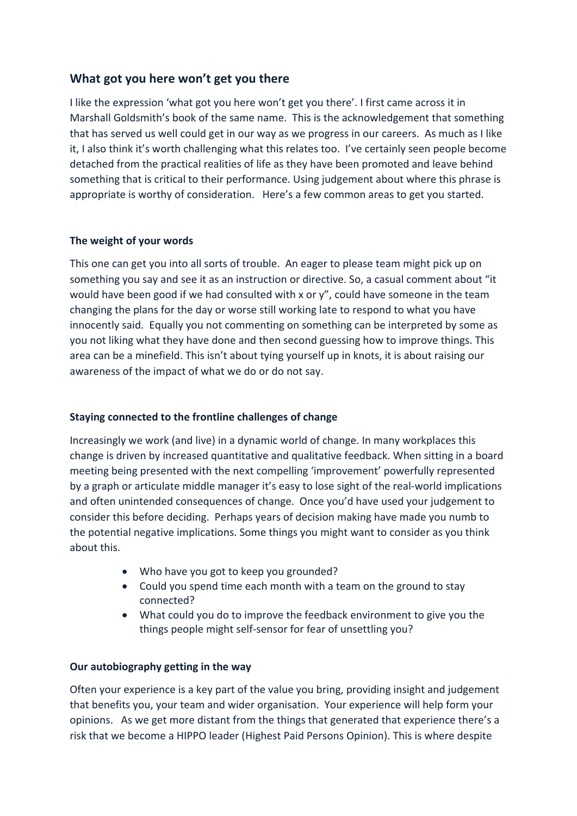## **What got you here won't get you there**

I like the expression 'what got you here won't get you there'. I first came across it in Marshall Goldsmith's book of the same name. This is the acknowledgement that something that has served us well could get in our way as we progress in our careers. As much as I like it, I also think it's worth challenging what this relates too. I've certainly seen people become detached from the practical realities of life as they have been promoted and leave behind something that is critical to their performance. Using judgement about where this phrase is appropriate is worthy of consideration. Here's a few common areas to get you started.

## **The weight of your words**

This one can get you into all sorts of trouble. An eager to please team might pick up on something you say and see it as an instruction or directive. So, a casual comment about "it would have been good if we had consulted with x or y", could have someone in the team changing the plans for the day or worse still working late to respond to what you have innocently said. Equally you not commenting on something can be interpreted by some as you not liking what they have done and then second guessing how to improve things. This area can be a minefield. This isn't about tying yourself up in knots, it is about raising our awareness of the impact of what we do or do not say.

## **Staying connected to the frontline challenges of change**

Increasingly we work (and live) in a dynamic world of change. In many workplaces this change is driven by increased quantitative and qualitative feedback. When sitting in a board meeting being presented with the next compelling 'improvement' powerfully represented by a graph or articulate middle manager it's easy to lose sight of the real-world implications and often unintended consequences of change. Once you'd have used your judgement to consider this before deciding. Perhaps years of decision making have made you numb to the potential negative implications. Some things you might want to consider as you think about this.

- Who have you got to keep you grounded?
- Could you spend time each month with a team on the ground to stay connected?
- What could you do to improve the feedback environment to give you the things people might self-sensor for fear of unsettling you?

## **Our autobiography getting in the way**

Often your experience is a key part of the value you bring, providing insight and judgement that benefits you, your team and wider organisation. Your experience will help form your opinions. As we get more distant from the things that generated that experience there's a risk that we become a HIPPO leader (Highest Paid Persons Opinion). This is where despite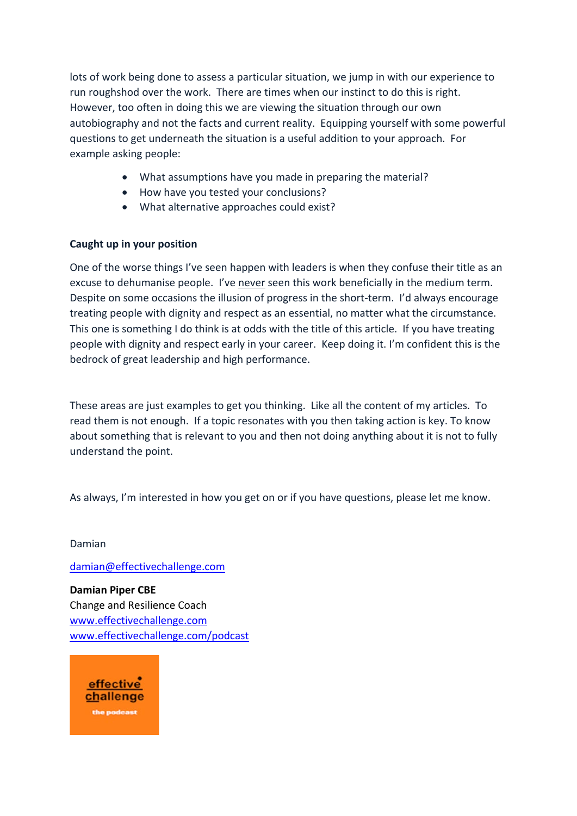lots of work being done to assess a particular situation, we jump in with our experience to run roughshod over the work. There are times when our instinct to do this is right. However, too often in doing this we are viewing the situation through our own autobiography and not the facts and current reality. Equipping yourself with some powerful questions to get underneath the situation is a useful addition to your approach. For example asking people:

- What assumptions have you made in preparing the material?
- How have you tested your conclusions?
- What alternative approaches could exist?

## **Caught up in your position**

One of the worse things I've seen happen with leaders is when they confuse their title as an excuse to dehumanise people. I've never seen this work beneficially in the medium term. Despite on some occasions the illusion of progress in the short-term. I'd always encourage treating people with dignity and respect as an essential, no matter what the circumstance. This one is something I do think is at odds with the title of this article. If you have treating people with dignity and respect early in your career. Keep doing it. I'm confident this is the bedrock of great leadership and high performance.

These areas are just examples to get you thinking. Like all the content of my articles. To read them is not enough. If a topic resonates with you then taking action is key. To know about something that is relevant to you and then not doing anything about it is not to fully understand the point.

As always, I'm interested in how you get on or if you have questions, please let me know.

Damian

[damian@effectivechallenge.com](mailto:damian@effectivechallenge.com)

**Damian Piper CBE** Change and Resilience Coach [www.effectivechallenge.com](https://protect-eu.mimecast.com/s/mv1NCwjkjFlqklf997in?domain=effectivechallenge.com) [www.effectivechallenge.com/podcast](https://protect-eu.mimecast.com/s/bxg-CxGlGHE7DEHw3d0h?domain=effectivechallenge.com) 

effective challenge the podeast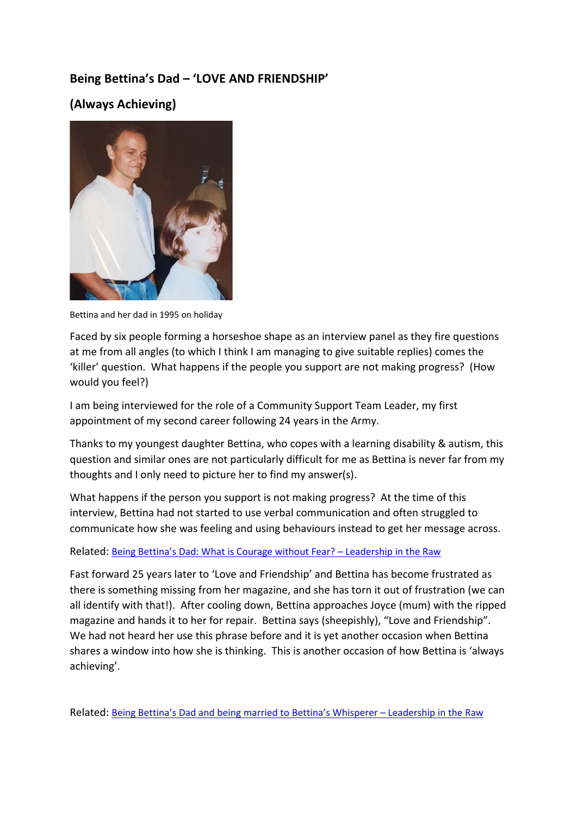## **Being Bettina's Dad – 'LOVE AND FRIENDSHIP'**

## **(Always Achieving)**



Bettina and her dad in 1995 on holiday

Faced by six people forming a horseshoe shape as an interview panel as they fire questions at me from all angles (to which I think I am managing to give suitable replies) comes the 'killer' question. What happens if the people you support are not making progress? (How would you feel?)

I am being interviewed for the role of a Community Support Team Leader, my first appointment of my second career following 24 years in the Army.

Thanks to my youngest daughter Bettina, who copes with a learning disability & autism, this question and similar ones are not particularly difficult for me as Bettina is never far from my thoughts and I only need to picture her to find my answer(s).

What happens if the person you support is not making progress? At the time of this interview, Bettina had not started to use verbal communication and often struggled to communicate how she was feeling and using behaviours instead to get her message across.

## Related: [Being Bettina's Dad: What is Courage without Fear? – Leadership in the Raw](https://leadershipintheraw.org/2018/12/10/being-bettinas-dad-what-is-courage-without-fear/)

Fast forward 25 years later to 'Love and Friendship' and Bettina has become frustrated as there is something missing from her magazine, and she has torn it out of frustration (we can all identify with that!). After cooling down, Bettina approaches Joyce (mum) with the ripped magazine and hands it to her for repair. Bettina says (sheepishly), "Love and Friendship". We had not heard her use this phrase before and it is yet another occasion when Bettina shares a window into how she is thinking. This is another occasion of how Bettina is 'always achieving'.

Related: [Being Bettina's Dad and being married to Bettina's Whisperer – Leadership in the Raw](https://leadershipintheraw.org/2016/04/21/being-bettinas-dad-and-being-married-to-bettinas-whisperer/)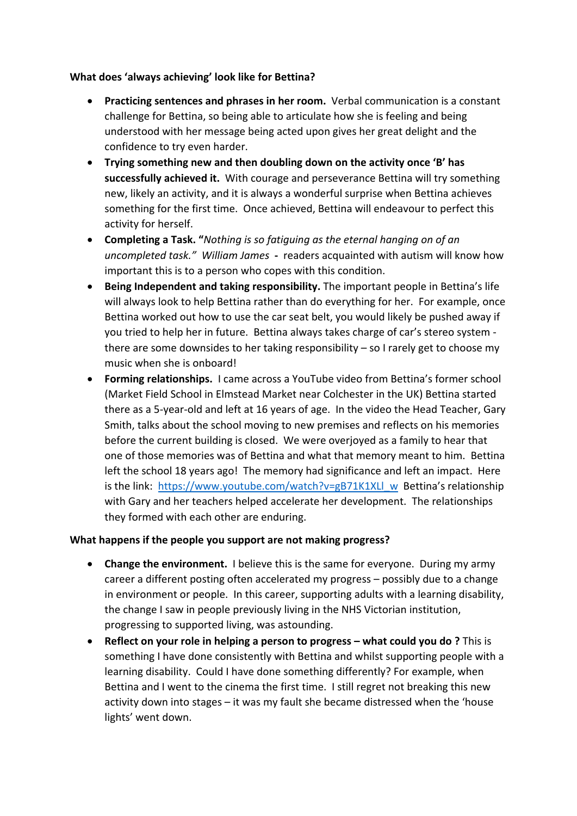#### **What does 'always achieving' look like for Bettina?**

- **Practicing sentences and phrases in her room.** Verbal communication is a constant challenge for Bettina, so being able to articulate how she is feeling and being understood with her message being acted upon gives her great delight and the confidence to try even harder.
- **Trying something new and then doubling down on the activity once 'B' has successfully achieved it.** With courage and perseverance Bettina will try something new, likely an activity, and it is always a wonderful surprise when Bettina achieves something for the first time. Once achieved, Bettina will endeavour to perfect this activity for herself.
- **Completing a Task. "***Nothing is so fatiguing as the eternal hanging on of an uncompleted task." William James* **-** readers acquainted with autism will know how important this is to a person who copes with this condition.
- **Being Independent and taking responsibility.** The important people in Bettina's life will always look to help Bettina rather than do everything for her. For example, once Bettina worked out how to use the car seat belt, you would likely be pushed away if you tried to help her in future. Bettina always takes charge of car's stereo system there are some downsides to her taking responsibility – so I rarely get to choose my music when she is onboard!
- **Forming relationships.** I came across a YouTube video from Bettina's former school (Market Field School in Elmstead Market near Colchester in the UK) Bettina started there as a 5-year-old and left at 16 years of age. In the video the Head Teacher, Gary Smith, talks about the school moving to new premises and reflects on his memories before the current building is closed. We were overjoyed as a family to hear that one of those memories was of Bettina and what that memory meant to him. Bettina left the school 18 years ago! The memory had significance and left an impact. Here is the link: [https://www.youtube.com/watch?v=gB71K1XLl\\_w](https://www.youtube.com/watch?v=gB71K1XLl_w) Bettina's relationship with Gary and her teachers helped accelerate her development. The relationships they formed with each other are enduring.

#### **What happens if the people you support are not making progress?**

- **Change the environment.** I believe this is the same for everyone. During my army career a different posting often accelerated my progress – possibly due to a change in environment or people. In this career, supporting adults with a learning disability, the change I saw in people previously living in the NHS Victorian institution, progressing to supported living, was astounding.
- **Reflect on your role in helping a person to progress what could you do ?** This is something I have done consistently with Bettina and whilst supporting people with a learning disability. Could I have done something differently? For example, when Bettina and I went to the cinema the first time. I still regret not breaking this new activity down into stages – it was my fault she became distressed when the 'house lights' went down.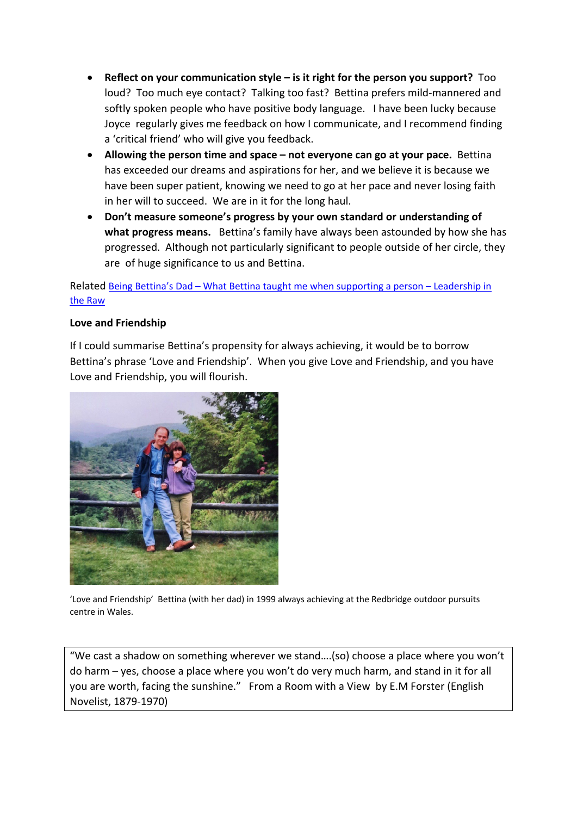- **Reflect on your communication style is it right for the person you support?** Too loud? Too much eye contact? Talking too fast? Bettina prefers mild-mannered and softly spoken people who have positive body language. I have been lucky because Joyce regularly gives me feedback on how I communicate, and I recommend finding a 'critical friend' who will give you feedback.
- **Allowing the person time and space not everyone can go at your pace.** Bettina has exceeded our dreams and aspirations for her, and we believe it is because we have been super patient, knowing we need to go at her pace and never losing faith in her will to succeed. We are in it for the long haul.
- **Don't measure someone's progress by your own standard or understanding of what progress means.** Bettina's family have always been astounded by how she has progressed. Although not particularly significant to people outside of her circle, they are of huge significance to us and Bettina.

Related [Being Bettina's Dad – What Bettina taught me when supporting a person – Leadership in](https://leadershipintheraw.org/2016/07/14/being-bettinas-dad-what-bettina-taught-me-when-supporting-a-person/)  [the Raw](https://leadershipintheraw.org/2016/07/14/being-bettinas-dad-what-bettina-taught-me-when-supporting-a-person/)

## **Love and Friendship**

If I could summarise Bettina's propensity for always achieving, it would be to borrow Bettina's phrase 'Love and Friendship'. When you give Love and Friendship, and you have Love and Friendship, you will flourish.



'Love and Friendship' Bettina (with her dad) in 1999 always achieving at the Redbridge outdoor pursuits centre in Wales.

"We cast a shadow on something wherever we stand….(so) choose a place where you won't do harm – yes, choose a place where you won't do very much harm, and stand in it for all you are worth, facing the sunshine." From a Room with a View by E.M Forster (English Novelist, 1879-1970)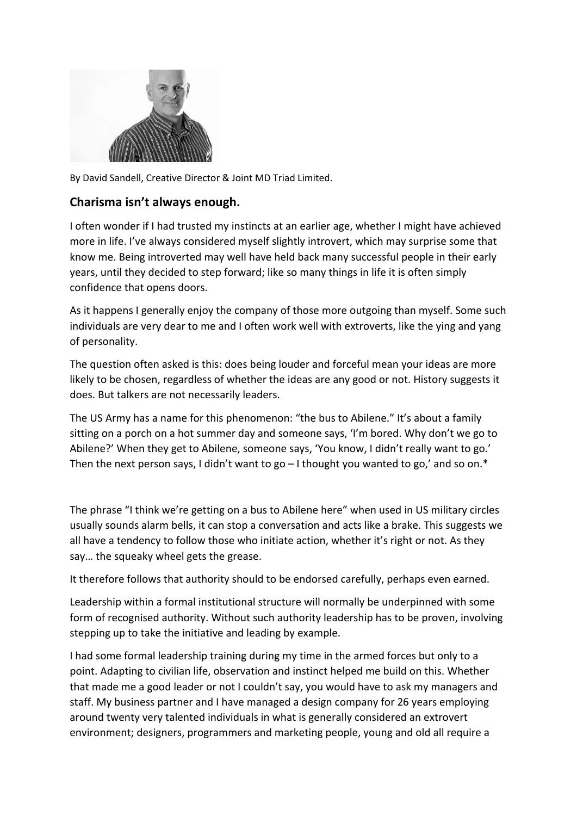

By David Sandell, Creative Director & Joint MD Triad Limited.

## **Charisma isn't always enough.**

I often wonder if I had trusted my instincts at an earlier age, whether I might have achieved more in life. I've always considered myself slightly introvert, which may surprise some that know me. Being introverted may well have held back many successful people in their early years, until they decided to step forward; like so many things in life it is often simply confidence that opens doors.

As it happens I generally enjoy the company of those more outgoing than myself. Some such individuals are very dear to me and I often work well with extroverts, like the ying and yang of personality.

The question often asked is this: does being louder and forceful mean your ideas are more likely to be chosen, regardless of whether the ideas are any good or not. History suggests it does. But talkers are not necessarily leaders.

The US Army has a name for this phenomenon: "the bus to Abilene." It's about a family sitting on a porch on a hot summer day and someone says, 'I'm bored. Why don't we go to Abilene?' When they get to Abilene, someone says, 'You know, I didn't really want to go.' Then the next person says, I didn't want to go  $-1$  thought you wanted to go,' and so on.\*

The phrase "I think we're getting on a bus to Abilene here" when used in US military circles usually sounds alarm bells, it can stop a conversation and acts like a brake. This suggests we all have a tendency to follow those who initiate action, whether it's right or not. As they say… the squeaky wheel gets the grease.

It therefore follows that authority should to be endorsed carefully, perhaps even earned.

Leadership within a formal institutional structure will normally be underpinned with some form of recognised authority. Without such authority leadership has to be proven, involving stepping up to take the initiative and leading by example.

I had some formal leadership training during my time in the armed forces but only to a point. Adapting to civilian life, observation and instinct helped me build on this. Whether that made me a good leader or not I couldn't say, you would have to ask my managers and staff. My business partner and I have managed a design company for 26 years employing around twenty very talented individuals in what is generally considered an extrovert environment; designers, programmers and marketing people, young and old all require a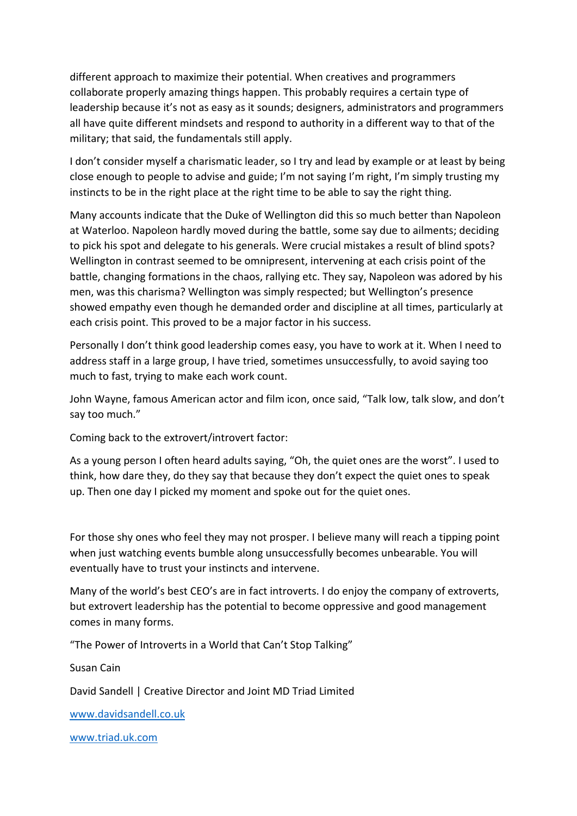different approach to maximize their potential. When creatives and programmers collaborate properly amazing things happen. This probably requires a certain type of leadership because it's not as easy as it sounds; designers, administrators and programmers all have quite different mindsets and respond to authority in a different way to that of the military; that said, the fundamentals still apply.

I don't consider myself a charismatic leader, so I try and lead by example or at least by being close enough to people to advise and guide; I'm not saying I'm right, I'm simply trusting my instincts to be in the right place at the right time to be able to say the right thing.

Many accounts indicate that the Duke of Wellington did this so much better than Napoleon at Waterloo. Napoleon hardly moved during the battle, some say due to ailments; deciding to pick his spot and delegate to his generals. Were crucial mistakes a result of blind spots? Wellington in contrast seemed to be omnipresent, intervening at each crisis point of the battle, changing formations in the chaos, rallying etc. They say, Napoleon was adored by his men, was this charisma? Wellington was simply respected; but Wellington's presence showed empathy even though he demanded order and discipline at all times, particularly at each crisis point. This proved to be a major factor in his success.

Personally I don't think good leadership comes easy, you have to work at it. When I need to address staff in a large group, I have tried, sometimes unsuccessfully, to avoid saying too much to fast, trying to make each work count.

John Wayne, famous American actor and film icon, once said, "Talk low, talk slow, and don't say too much."

Coming back to the extrovert/introvert factor:

As a young person I often heard adults saying, "Oh, the quiet ones are the worst". I used to think, how dare they, do they say that because they don't expect the quiet ones to speak up. Then one day I picked my moment and spoke out for the quiet ones.

For those shy ones who feel they may not prosper. I believe many will reach a tipping point when just watching events bumble along unsuccessfully becomes unbearable. You will eventually have to trust your instincts and intervene.

Many of the world's best CEO's are in fact introverts. I do enjoy the company of extroverts, but extrovert leadership has the potential to become oppressive and good management comes in many forms.

"The Power of Introverts in a World that Can't Stop Talking"

Susan Cain

David Sandell | Creative Director and Joint MD Triad Limited

[www.davidsandell.co.uk](http://www.davidsandell.co.uk/) 

[www.triad.uk.com](http://www.triad.uk.com/)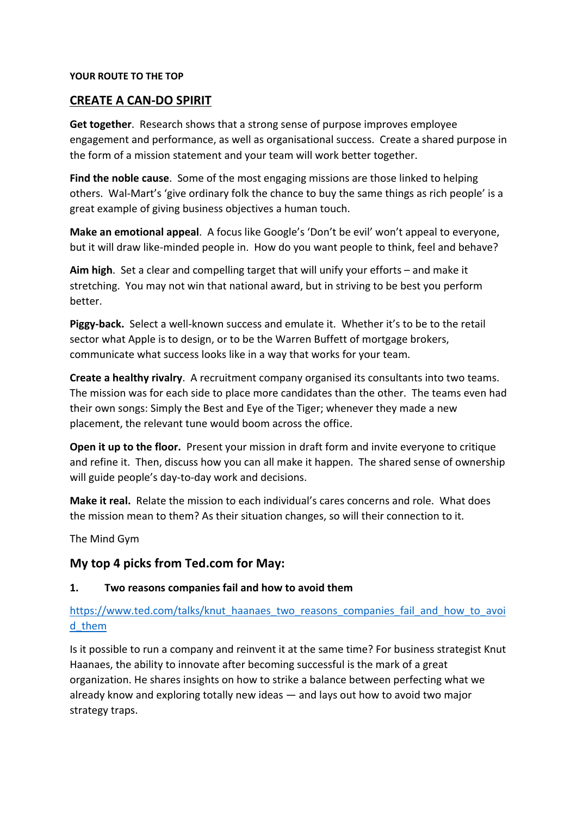#### **YOUR ROUTE TO THE TOP**

#### **CREATE A CAN-DO SPIRIT**

**Get together**. Research shows that a strong sense of purpose improves employee engagement and performance, as well as organisational success. Create a shared purpose in the form of a mission statement and your team will work better together.

**Find the noble cause**. Some of the most engaging missions are those linked to helping others. Wal-Mart's 'give ordinary folk the chance to buy the same things as rich people' is a great example of giving business objectives a human touch.

**Make an emotional appeal**. A focus like Google's 'Don't be evil' won't appeal to everyone, but it will draw like-minded people in. How do you want people to think, feel and behave?

**Aim high**. Set a clear and compelling target that will unify your efforts – and make it stretching. You may not win that national award, but in striving to be best you perform better.

**Piggy-back.** Select a well-known success and emulate it. Whether it's to be to the retail sector what Apple is to design, or to be the Warren Buffett of mortgage brokers, communicate what success looks like in a way that works for your team.

**Create a healthy rivalry**. A recruitment company organised its consultants into two teams. The mission was for each side to place more candidates than the other. The teams even had their own songs: Simply the Best and Eye of the Tiger; whenever they made a new placement, the relevant tune would boom across the office.

**Open it up to the floor.** Present your mission in draft form and invite everyone to critique and refine it. Then, discuss how you can all make it happen. The shared sense of ownership will guide people's day-to-day work and decisions.

**Make it real.** Relate the mission to each individual's cares concerns and role. What does the mission mean to them? As their situation changes, so will their connection to it.

The Mind Gym

## **My top 4 picks from Ted.com for May:**

#### **1. Two reasons companies fail and how to avoid them**

[https://www.ted.com/talks/knut\\_haanaes\\_two\\_reasons\\_companies\\_fail\\_and\\_how\\_to\\_avoi](https://www.ted.com/talks/knut_haanaes_two_reasons_companies_fail_and_how_to_avoid_them) [d\\_them](https://www.ted.com/talks/knut_haanaes_two_reasons_companies_fail_and_how_to_avoid_them) 

Is it possible to run a company and reinvent it at the same time? For business strategist Knut Haanaes, the ability to innovate after becoming successful is the mark of a great organization. He shares insights on how to strike a balance between perfecting what we already know and exploring totally new ideas — and lays out how to avoid two major strategy traps.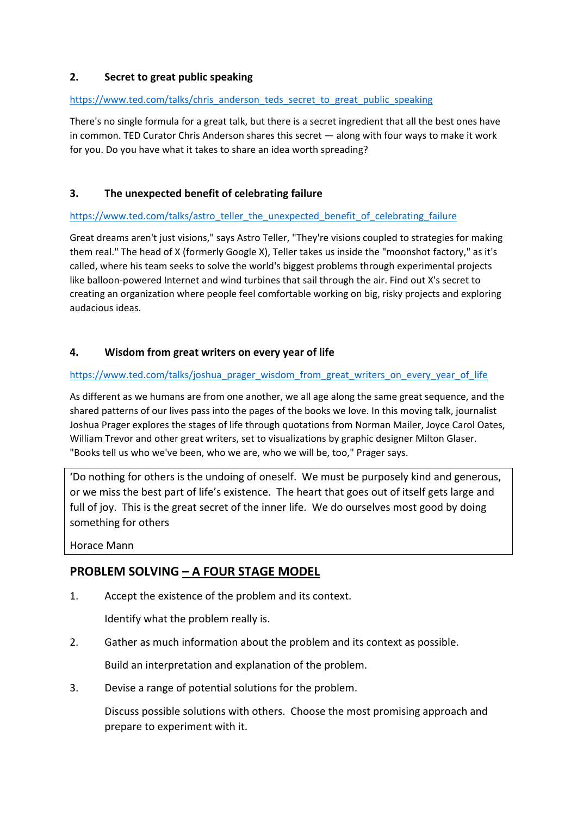## **2. Secret to great public speaking**

#### https://www.ted.com/talks/chris\_anderson\_teds\_secret\_to\_great\_public\_speaking

There's no single formula for a great talk, but there is a secret ingredient that all the best ones have in common. TED Curator Chris Anderson shares this secret — along with four ways to make it work for you. Do you have what it takes to share an idea worth spreading?

#### **3. The unexpected benefit of celebrating failure**

#### https://www.ted.com/talks/astro\_teller\_the\_unexpected\_benefit\_of\_celebrating\_failure

Great dreams aren't just visions," says Astro Teller, "They're visions coupled to strategies for making them real." The head of X (formerly Google X), Teller takes us inside the "moonshot factory," as it's called, where his team seeks to solve the world's biggest problems through experimental projects like balloon-powered Internet and wind turbines that sail through the air. Find out X's secret to creating an organization where people feel comfortable working on big, risky projects and exploring audacious ideas.

#### **4. Wisdom from great writers on every year of life**

#### https://www.ted.com/talks/joshua\_prager\_wisdom\_from\_great\_writers\_on\_every\_year\_of\_life

As different as we humans are from one another, we all age along the same great sequence, and the shared patterns of our lives pass into the pages of the books we love. In this moving talk, journalist Joshua Prager explores the stages of life through quotations from Norman Mailer, Joyce Carol Oates, William Trevor and other great writers, set to visualizations by graphic designer Milton Glaser. "Books tell us who we've been, who we are, who we will be, too," Prager says.

'Do nothing for others is the undoing of oneself. We must be purposely kind and generous, or we miss the best part of life's existence. The heart that goes out of itself gets large and full of joy. This is the great secret of the inner life. We do ourselves most good by doing something for others

Horace Mann

## **PROBLEM SOLVING – A FOUR STAGE MODEL**

1. Accept the existence of the problem and its context.

Identify what the problem really is.

2. Gather as much information about the problem and its context as possible.

Build an interpretation and explanation of the problem.

3. Devise a range of potential solutions for the problem.

Discuss possible solutions with others. Choose the most promising approach and prepare to experiment with it.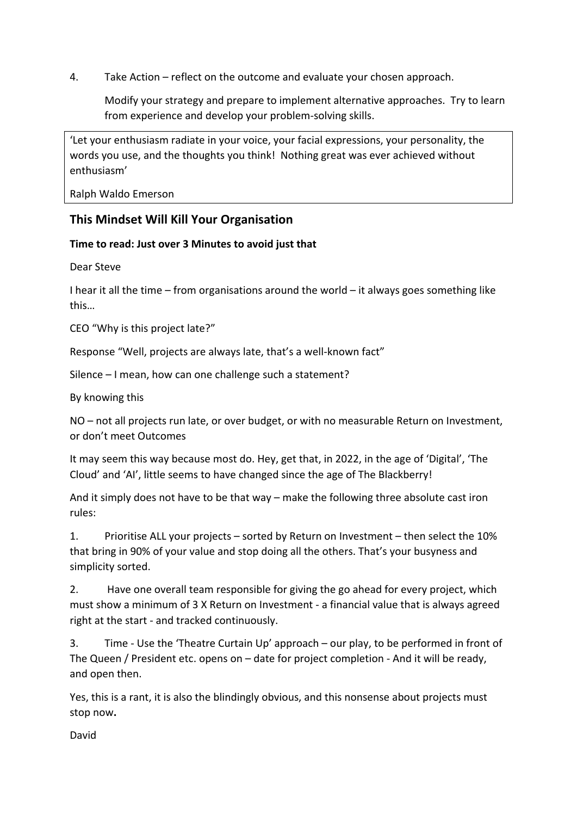4. Take Action – reflect on the outcome and evaluate your chosen approach.

Modify your strategy and prepare to implement alternative approaches. Try to learn from experience and develop your problem-solving skills.

'Let your enthusiasm radiate in your voice, your facial expressions, your personality, the words you use, and the thoughts you think! Nothing great was ever achieved without enthusiasm'

Ralph Waldo Emerson

## **This Mindset Will Kill Your Organisation**

## **Time to read: Just over 3 Minutes to avoid just that**

Dear Steve

I hear it all the time – from organisations around the world – it always goes something like this…

CEO "Why is this project late?"

Response "Well, projects are always late, that's a well-known fact"

Silence – I mean, how can one challenge such a statement?

By knowing this

NO – not all projects run late, or over budget, or with no measurable Return on Investment, or don't meet Outcomes

It may seem this way because most do. Hey, get that, in 2022, in the age of 'Digital', 'The Cloud' and 'AI', little seems to have changed since the age of The Blackberry!

And it simply does not have to be that way – make the following three absolute cast iron rules:

1. Prioritise ALL your projects – sorted by Return on Investment – then select the 10% that bring in 90% of your value and stop doing all the others. That's your busyness and simplicity sorted.

2. Have one overall team responsible for giving the go ahead for every project, which must show a minimum of 3 X Return on Investment - a financial value that is always agreed right at the start - and tracked continuously.

3. Time - Use the 'Theatre Curtain Up' approach – our play, to be performed in front of The Queen / President etc. opens on – date for project completion - And it will be ready, and open then.

Yes, this is a rant, it is also the blindingly obvious, and this nonsense about projects must stop now**.** 

David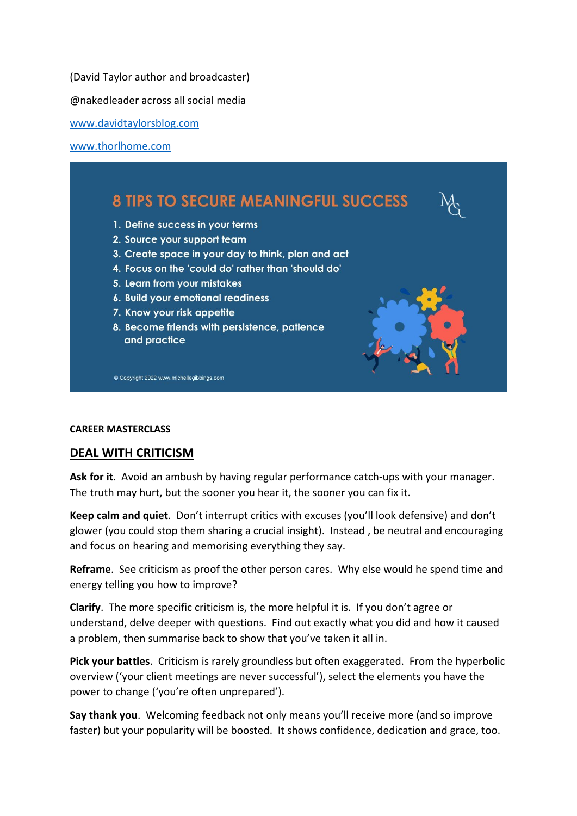(David Taylor author and broadcaster)

@nakedleader across all social media

[www.davidtaylorsblog.com](http://www.davidtaylorsblog.com/) 

[www.thorlhome.com](http://www.thorlhome.com/) 

## **8 TIPS TO SECURE MEANINGFUL SUCCESS**

- 1. Define success in your terms
- 2. Source your support team
- 3. Create space in your day to think, plan and act
- 4. Focus on the 'could do' rather than 'should do'
- 5. Learn from your mistakes
- 6. Build your emotional readiness
- 7. Know your risk appetite
- 8. Become friends with persistence, patience and practice

Copyright 2022 www.michellegibbings.com

#### **CAREER MASTERCLASS**

#### **DEAL WITH CRITICISM**

**Ask for it**. Avoid an ambush by having regular performance catch-ups with your manager. The truth may hurt, but the sooner you hear it, the sooner you can fix it.

**Keep calm and quiet**. Don't interrupt critics with excuses (you'll look defensive) and don't glower (you could stop them sharing a crucial insight). Instead , be neutral and encouraging and focus on hearing and memorising everything they say.

**Reframe**. See criticism as proof the other person cares. Why else would he spend time and energy telling you how to improve?

**Clarify**. The more specific criticism is, the more helpful it is. If you don't agree or understand, delve deeper with questions. Find out exactly what you did and how it caused a problem, then summarise back to show that you've taken it all in.

**Pick your battles**. Criticism is rarely groundless but often exaggerated. From the hyperbolic overview ('your client meetings are never successful'), select the elements you have the power to change ('you're often unprepared').

**Say thank you**. Welcoming feedback not only means you'll receive more (and so improve faster) but your popularity will be boosted. It shows confidence, dedication and grace, too.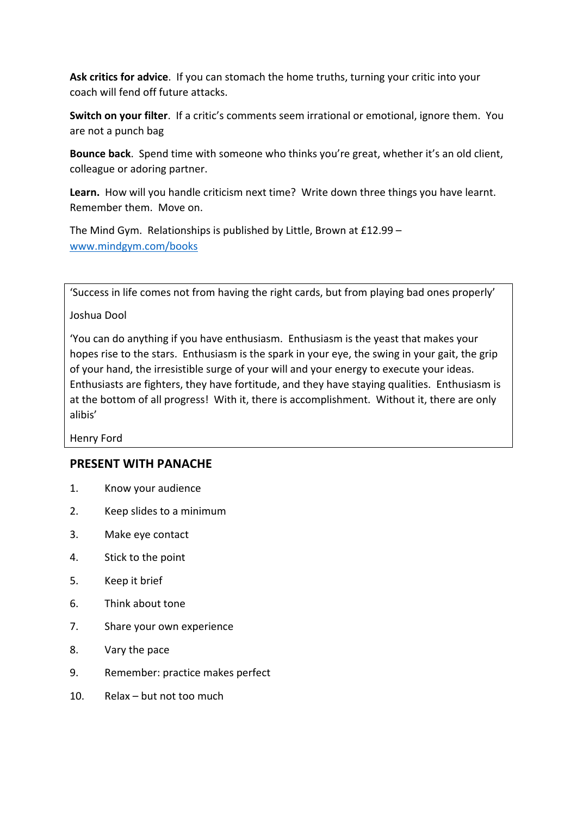**Ask critics for advice**. If you can stomach the home truths, turning your critic into your coach will fend off future attacks.

**Switch on your filter**. If a critic's comments seem irrational or emotional, ignore them. You are not a punch bag

**Bounce back**. Spend time with someone who thinks you're great, whether it's an old client, colleague or adoring partner.

**Learn.** How will you handle criticism next time? Write down three things you have learnt. Remember them. Move on.

The Mind Gym. Relationships is published by Little, Brown at £12.99 – [www.mindgym.com/books](http://www.mindgym.com/books)

'Success in life comes not from having the right cards, but from playing bad ones properly'

Joshua Dool

'You can do anything if you have enthusiasm. Enthusiasm is the yeast that makes your hopes rise to the stars. Enthusiasm is the spark in your eye, the swing in your gait, the grip of your hand, the irresistible surge of your will and your energy to execute your ideas. Enthusiasts are fighters, they have fortitude, and they have staying qualities. Enthusiasm is at the bottom of all progress! With it, there is accomplishment. Without it, there are only alibis'

Henry Ford

## **PRESENT WITH PANACHE**

- 1. Know your audience
- 2. Keep slides to a minimum
- 3. Make eye contact
- 4. Stick to the point
- 5. Keep it brief
- 6. Think about tone
- 7. Share your own experience
- 8. Vary the pace
- 9. Remember: practice makes perfect
- 10. Relax but not too much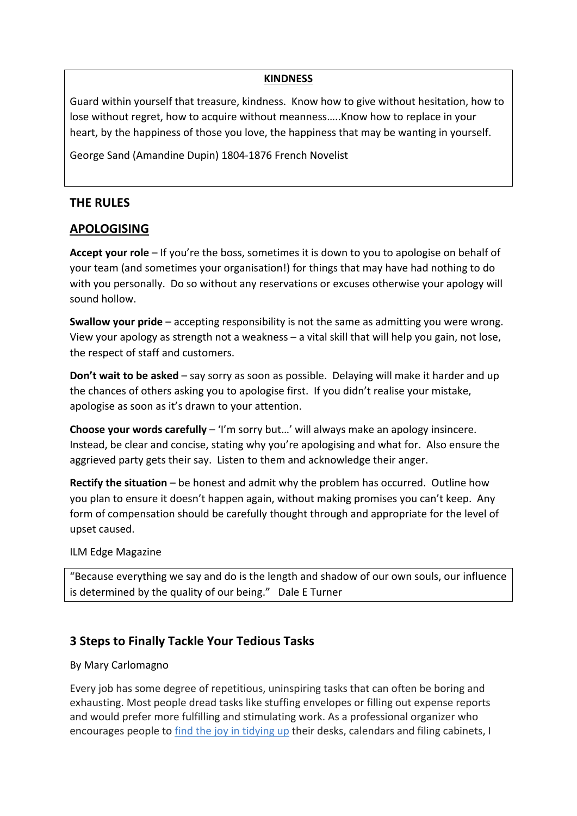#### **KINDNESS**

Guard within yourself that treasure, kindness. Know how to give without hesitation, how to lose without regret, how to acquire without meanness…..Know how to replace in your heart, by the happiness of those you love, the happiness that may be wanting in yourself.

George Sand (Amandine Dupin) 1804-1876 French Novelist

## **THE RULES**

## **APOLOGISING**

**Accept your role** – If you're the boss, sometimes it is down to you to apologise on behalf of your team (and sometimes your organisation!) for things that may have had nothing to do with you personally. Do so without any reservations or excuses otherwise your apology will sound hollow.

**Swallow your pride** – accepting responsibility is not the same as admitting you were wrong. View your apology as strength not a weakness – a vital skill that will help you gain, not lose, the respect of staff and customers.

**Don't wait to be asked** – say sorry as soon as possible. Delaying will make it harder and up the chances of others asking you to apologise first. If you didn't realise your mistake, apologise as soon as it's drawn to your attention.

**Choose your words carefully** – 'I'm sorry but…' will always make an apology insincere. Instead, be clear and concise, stating why you're apologising and what for. Also ensure the aggrieved party gets their say. Listen to them and acknowledge their anger.

**Rectify the situation** – be honest and admit why the problem has occurred. Outline how you plan to ensure it doesn't happen again, without making promises you can't keep. Any form of compensation should be carefully thought through and appropriate for the level of upset caused.

#### ILM Edge Magazine

"Because everything we say and do is the length and shadow of our own souls, our influence is determined by the quality of our being." Dale E Turner

## **3 Steps to Finally Tackle Your Tedious Tasks**

#### By Mary Carlomagno

Every job has some degree of repetitious, uninspiring tasks that can often be boring and exhausting. Most people dread tasks like stuffing envelopes or filling out expense reports and would prefer more fulfilling and stimulating work. As a professional organizer who encourages people to [find the joy in tidying up](https://www.success.com/joy-at-work/?utm_medium=email&utm_source=hs_email&utm_campaign=Inside%20SUCCESS&utm_content=213054739&utm_medium=email&utm_source=hs_email&utm_campaign=Inside%20SUCCESS&utm_content=213054739) their desks, calendars and filing cabinets, I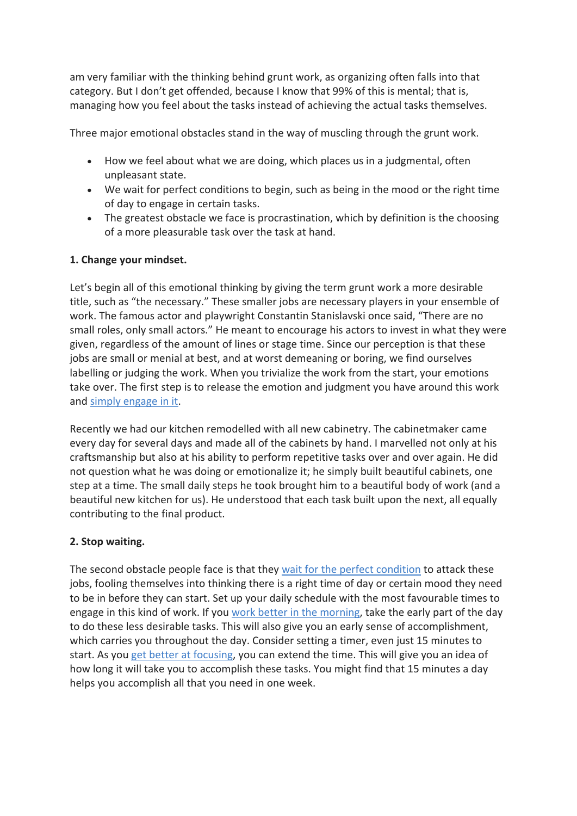am very familiar with the thinking behind grunt work, as organizing often falls into that category. But I don't get offended, because I know that 99% of this is mental; that is, managing how you feel about the tasks instead of achieving the actual tasks themselves.

Three major emotional obstacles stand in the way of muscling through the grunt work.

- How we feel about what we are doing, which places us in a judgmental, often unpleasant state.
- We wait for perfect conditions to begin, such as being in the mood or the right time of day to engage in certain tasks.
- The greatest obstacle we face is procrastination, which by definition is the choosing of a more pleasurable task over the task at hand.

## **1. Change your mindset.**

Let's begin all of this emotional thinking by giving the term grunt work a more desirable title, such as "the necessary." These smaller jobs are necessary players in your ensemble of work. The famous actor and playwright Constantin Stanislavski once said, "There are no small roles, only small actors." He meant to encourage his actors to invest in what they were given, regardless of the amount of lines or stage time. Since our perception is that these jobs are small or menial at best, and at worst demeaning or boring, we find ourselves labelling or judging the work. When you trivialize the work from the start, your emotions take over. The first step is to release the emotion and judgment you have around this work and [simply engage in it.](https://hbr.org/2018/09/how-to-help-your-team-manage-grunt-work?utm_medium=email&utm_source=hs_email&utm_campaign=Inside%20SUCCESS&utm_content=213054739)

Recently we had our kitchen remodelled with all new cabinetry. The cabinetmaker came every day for several days and made all of the cabinets by hand. I marvelled not only at his craftsmanship but also at his ability to perform repetitive tasks over and over again. He did not question what he was doing or emotionalize it; he simply built beautiful cabinets, one step at a time. The small daily steps he took brought him to a beautiful body of work (and a beautiful new kitchen for us). He understood that each task built upon the next, all equally contributing to the final product.

## **2. Stop waiting.**

The second obstacle people face is that they [wait for the perfect condition](https://medium.com/better-advice/there-is-no-perfect-timing-in-life-there-is-just-time-and-what-you-do-with-what-youre-given-633388de8d0e?utm_medium=email&utm_source=hs_email&utm_campaign=Inside%20SUCCESS&utm_content=213054739) to attack these jobs, fooling themselves into thinking there is a right time of day or certain mood they need to be in before they can start. Set up your daily schedule with the most favourable times to engage in this kind of work. If you [work better in the morning,](https://www.success.com/4-morning-routine-tips-to-set-yourself-up-for-a-successful-day/?utm_medium=email&utm_source=hs_email&utm_campaign=Inside%20SUCCESS&utm_content=213054739&utm_medium=email&utm_source=hs_email&utm_campaign=Inside%20SUCCESS&utm_content=213054739) take the early part of the day to do these less desirable tasks. This will also give you an early sense of accomplishment, which carries you throughout the day. Consider setting a timer, even just 15 minutes to start. As you [get better at focusing,](https://www.success.com/how-to-create-the-perfect-conditions-for-deep-focus/?utm_medium=email&utm_source=hs_email&utm_campaign=Inside%20SUCCESS&utm_content=213054739&utm_medium=email&utm_source=hs_email&utm_campaign=Inside%20SUCCESS&utm_content=213054739) you can extend the time. This will give you an idea of how long it will take you to accomplish these tasks. You might find that 15 minutes a day helps you accomplish all that you need in one week.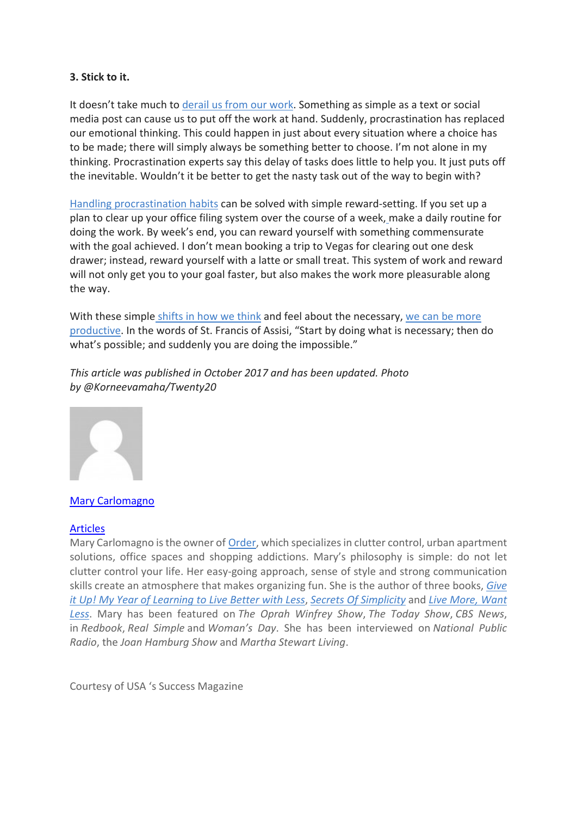#### **3. Stick to it.**

It doesn't take much to [derail us from our work.](https://hbr.org/2019/12/10-quick-tips-for-avoiding-distractions-at-work?utm_medium=email&utm_source=hs_email&utm_campaign=Inside%20SUCCESS&utm_content=213054739) Something as simple as a text or social media post can cause us to put off the work at hand. Suddenly, procrastination has replaced our emotional thinking. This could happen in just about every situation where a choice has to be made; there will simply always be something better to choose. I'm not alone in my thinking. Procrastination experts say this delay of tasks does little to help you. It just puts off the inevitable. Wouldn't it be better to get the nasty task out of the way to begin with?

[Handling procrastination habits](https://www.success.com/6-secrets-to-preventing-procrastination/?utm_medium=email&utm_source=hs_email&utm_campaign=Inside%20SUCCESS&utm_content=213054739&utm_medium=email&utm_source=hs_email&utm_campaign=Inside%20SUCCESS&utm_content=213054739) can be solved with simple reward-setting. If you set up a plan to clear up your office filing system over the course of a week[,](https://www.success.com/blog/this-7-step-morning-routine-helped-me-build-a-billion-dollar-brand?utm_medium=email&utm_source=hs_email&utm_campaign=Inside%20SUCCESS&utm_content=213054739&utm_medium=email&utm_source=hs_email&utm_campaign=Inside%20SUCCESS&utm_content=213054739) make a daily routine for doing the work. By week's end, you can reward yourself with something commensurate with the goal achieved. I don't mean booking a trip to Vegas for clearing out one desk drawer; instead, reward yourself with a latte or small treat. This system of work and reward will not only get you to your goal faster, but also makes the work more pleasurable along the way.

With th[e](https://www.success.com/article/7-crucial-mindset-shifts-to-achieve-everything-you-want?utm_medium=email&utm_source=hs_email&utm_campaign=Inside%20SUCCESS&utm_content=213054739&utm_medium=email&utm_source=hs_email&utm_campaign=Inside%20SUCCESS&utm_content=213054739)se simple [shifts in how we think](https://www.success.com/mindset-and-the-happiness-factor/?utm_medium=email&utm_source=hs_email&utm_campaign=Inside%20SUCCESS&utm_content=213054739&utm_medium=email&utm_source=hs_email&utm_campaign=Inside%20SUCCESS&utm_content=213054739) and feel about the necessary, we can be more [productive.](https://www.success.com/12-productivity-tools-and-strategies-to-help-you-seize-the-day/?utm_medium=email&utm_source=hs_email&utm_campaign=Inside%20SUCCESS&utm_content=213054739&utm_medium=email&utm_source=hs_email&utm_campaign=Inside%20SUCCESS&utm_content=213054739) In the words of St. Francis of Assisi, "Start by doing what is necessary; then do what's possible; and suddenly you are doing the impossible."

*This article was published in October 2017 and has been updated. Photo by @Korneevamaha/Twenty20*



#### [Mary Carlomagno](https://www.success.com/author/mary-carlomagno/?utm_medium=email&utm_source=hs_email&utm_campaign=Inside%20SUCCESS&utm_content=213054739&utm_medium=email&utm_source=hs_email&utm_campaign=Inside%20SUCCESS&utm_content=213054739)

#### [Articles](javascript:ToggleAuthorshipData(2803793183,%20)

Mary Carlomagno is the owner of [Order,](https://www.orderperiod.com/?utm_medium=email&utm_source=hs_email&utm_campaign=Inside%20SUCCESS&utm_content=213054739) which specializes in clutter control, urban apartment solutions, office spaces and shopping addictions. Mary's philosophy is simple: do not let clutter control your life. Her easy-going approach, sense of style and strong communication skills create an atmosphere that makes organizing fun. She is the author of three books, *[Give](https://www.amazon.com/gp/product/B009LQJPFU/ref=as_li_tl?ie=UTF8&camp=1789&creative=390957&creativeASIN=B009LQJPFU&linkCode=as2&tag=sm0fe-20&linkId=7BPKWX3CRJGZAC2I&utm_medium=email&utm_source=hs_email&utm_campaign=Inside%20SUCCESS&utm_content=213054739)  [it Up! My Year of Learning to Live Better with Less](https://www.amazon.com/gp/product/B009LQJPFU/ref=as_li_tl?ie=UTF8&camp=1789&creative=390957&creativeASIN=B009LQJPFU&linkCode=as2&tag=sm0fe-20&linkId=7BPKWX3CRJGZAC2I&utm_medium=email&utm_source=hs_email&utm_campaign=Inside%20SUCCESS&utm_content=213054739)*, *[Secrets Of Simplicity](https://www.amazon.com/gp/product/B002DYHI0G/ref=as_li_tl?ie=UTF8&camp=1789&creative=390957&creativeASIN=B002DYHI0G&linkCode=as2&tag=sm0fe-20&linkId=CASJOD6LQOSRANRZ&utm_medium=email&utm_source=hs_email&utm_campaign=Inside%20SUCCESS&utm_content=213054739)* and *[Live More, Want](https://www.amazon.com/gp/product/1603425586/ref=as_li_tl?ie=UTF8&camp=1789&creative=390957&creativeASIN=1603425586&linkCode=as2&tag=sm0fe-20&linkId=C7BA7SH2R5TZSUHP&utm_medium=email&utm_source=hs_email&utm_campaign=Inside%20SUCCESS&utm_content=213054739)  [Less](https://www.amazon.com/gp/product/1603425586/ref=as_li_tl?ie=UTF8&camp=1789&creative=390957&creativeASIN=1603425586&linkCode=as2&tag=sm0fe-20&linkId=C7BA7SH2R5TZSUHP&utm_medium=email&utm_source=hs_email&utm_campaign=Inside%20SUCCESS&utm_content=213054739)*. Mary has been featured on *The Oprah Winfrey Show*, *The Today Show*, *CBS News*, in *Redbook*, *Real Simple* and *Woman's Day*. She has been interviewed on *National Public Radio*, the *Joan Hamburg Show* and *Martha Stewart Living*.

Courtesy of USA 's Success Magazine